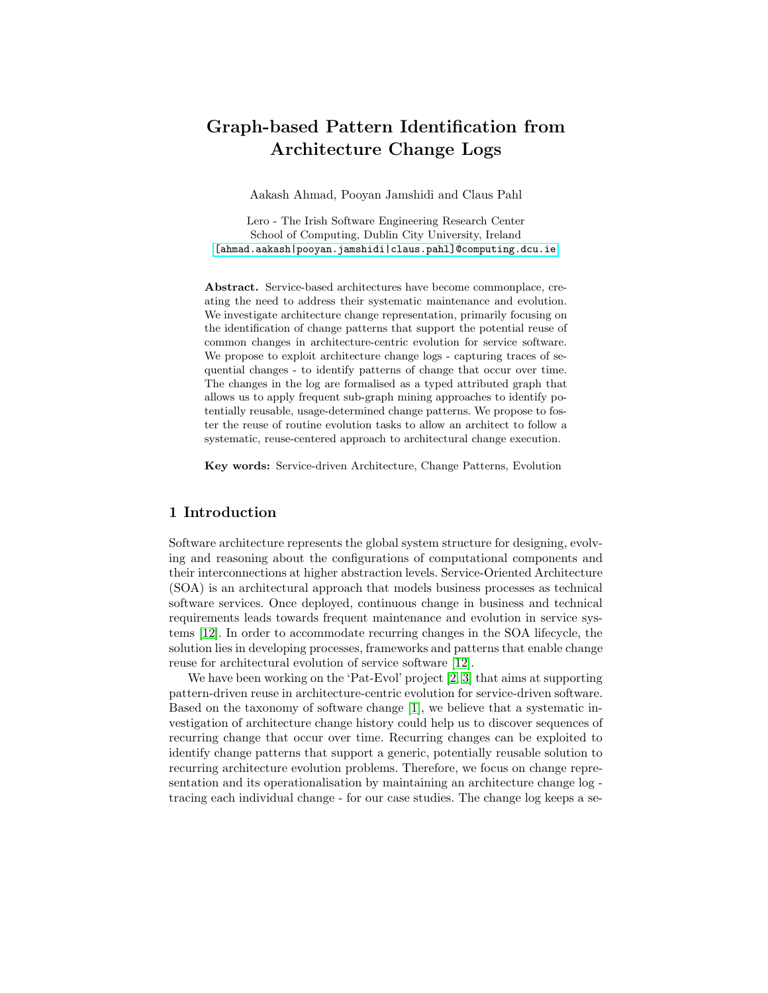# **Graph-based Pattern Identification from Architecture Change Logs**

Aakash Ahmad, Pooyan Jamshidi and Claus Pahl

Lero - The Irish Software Engineering Research Center School of Computing, Dublin City University, Ireland [\[ahmad.aakash|pooyan.jamshidi|claus.pahl\]@computing.dcu.ie]([ahmad.aakash|pooyan.jamshidi|claus.pahl]@computing.dcu.ie)

**Abstract.** Service-based architectures have become commonplace, creating the need to address their systematic maintenance and evolution. We investigate architecture change representation, primarily focusing on the identification of change patterns that support the potential reuse of common changes in architecture-centric evolution for service software. We propose to exploit architecture change logs - capturing traces of sequential changes - to identify patterns of change that occur over time. The changes in the log are formalised as a typed attributed graph that allows us to apply frequent sub-graph mining approaches to identify potentially reusable, usage-determined change patterns. We propose to foster the reuse of routine evolution tasks to allow an architect to follow a systematic, reuse-centered approach to architectural change execution.

**Key words:** Service-driven Architecture, Change Patterns, Evolution

### **1 Introduction**

Software architecture represents the global system structure for designing, evolving and reasoning about the configurations of computational components and their interconnections at higher abstraction levels. Service-Oriented Architecture (SOA) is an architectural approach that models business processes as technical software services. Once deployed, continuous change in business and technical requirements leads towards frequent maintenance and evolution in service systems [\[12\]](#page-13-0). In order to accommodate recurring changes in the SOA lifecycle, the solution lies in developing processes, frameworks and patterns that enable change reuse for architectural evolution of service software [\[12\]](#page-13-0).

We have been working on the 'Pat-Evol' project [\[2,](#page-13-1) [3\]](#page-13-2) that aims at supporting pattern-driven reuse in architecture-centric evolution for service-driven software. Based on the taxonomy of software change [\[1\]](#page-13-3), we believe that a systematic investigation of architecture change history could help us to discover sequences of recurring change that occur over time. Recurring changes can be exploited to identify change patterns that support a generic, potentially reusable solution to recurring architecture evolution problems. Therefore, we focus on change representation and its operationalisation by maintaining an architecture change log tracing each individual change - for our case studies. The change log keeps a se-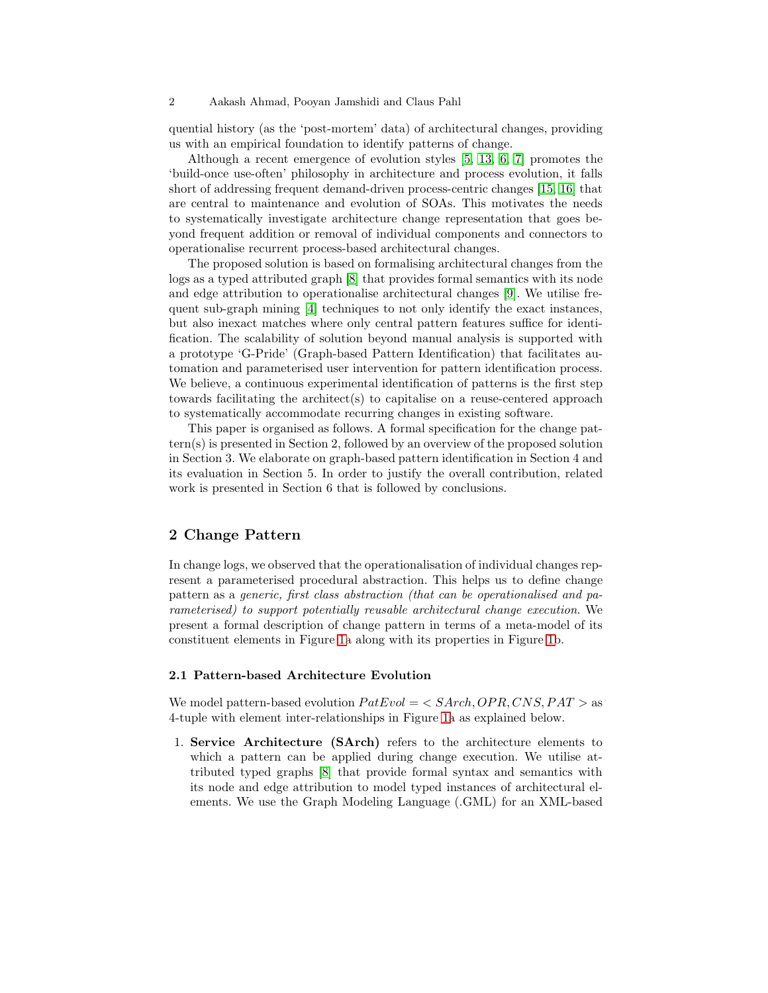#### 2 Aakash Ahmad, Pooyan Jamshidi and Claus Pahl

quential history (as the 'post-mortem' data) of architectural changes, providing us with an empirical foundation to identify patterns of change.

Although a recent emergence of evolution styles [\[5,](#page-13-4) [13,](#page-13-5) [6,](#page-13-6) [7\]](#page-13-7) promotes the 'build-once use-often' philosophy in architecture and process evolution, it falls short of addressing frequent demand-driven process-centric changes [\[15,](#page-13-8) [16\]](#page-13-9) that are central to maintenance and evolution of SOAs. This motivates the needs to systematically investigate architecture change representation that goes beyond frequent addition or removal of individual components and connectors to operationalise recurrent process-based architectural changes.

The proposed solution is based on formalising architectural changes from the logs as a typed attributed graph [\[8\]](#page-13-10) that provides formal semantics with its node and edge attribution to operationalise architectural changes [\[9\]](#page-13-11). We utilise frequent sub-graph mining [\[4\]](#page-13-12) techniques to not only identify the exact instances, but also inexact matches where only central pattern features suffice for identification. The scalability of solution beyond manual analysis is supported with a prototype 'G-Pride' (Graph-based Pattern Identification) that facilitates automation and parameterised user intervention for pattern identification process. We believe, a continuous experimental identification of patterns is the first step towards facilitating the architect(s) to capitalise on a reuse-centered approach to systematically accommodate recurring changes in existing software.

This paper is organised as follows. A formal specification for the change pattern(s) is presented in Section 2, followed by an overview of the proposed solution in Section 3. We elaborate on graph-based pattern identification in Section 4 and its evaluation in Section 5. In order to justify the overall contribution, related work is presented in Section 6 that is followed by conclusions.

# **2 Change Pattern**

In change logs, we observed that the operationalisation of individual changes represent a parameterised procedural abstraction. This helps us to define change pattern as a *generic, first class abstraction (that can be operationalised and parameterised) to support potentially reusable architectural change execution*. We present a formal description of change pattern in terms of a meta-model of its constituent elements in Figure [1a](#page-2-0) along with its properties in Figure [1b](#page-2-0).

### **2.1 Pattern-based Architecture Evolution**

We model pattern-based evolution  $PatEval = \langle \, \text{SArch}, \text{OPR}, \text{CNS}, \text{PAT} \, \rangle$  as 4-tuple with element inter-relationships in Figure [1a](#page-2-0) as explained below.

1. **Service Architecture (SArch)** refers to the architecture elements to which a pattern can be applied during change execution. We utilise attributed typed graphs [\[8\]](#page-13-10) that provide formal syntax and semantics with its node and edge attribution to model typed instances of architectural elements. We use the Graph Modeling Language (.GML) for an XML-based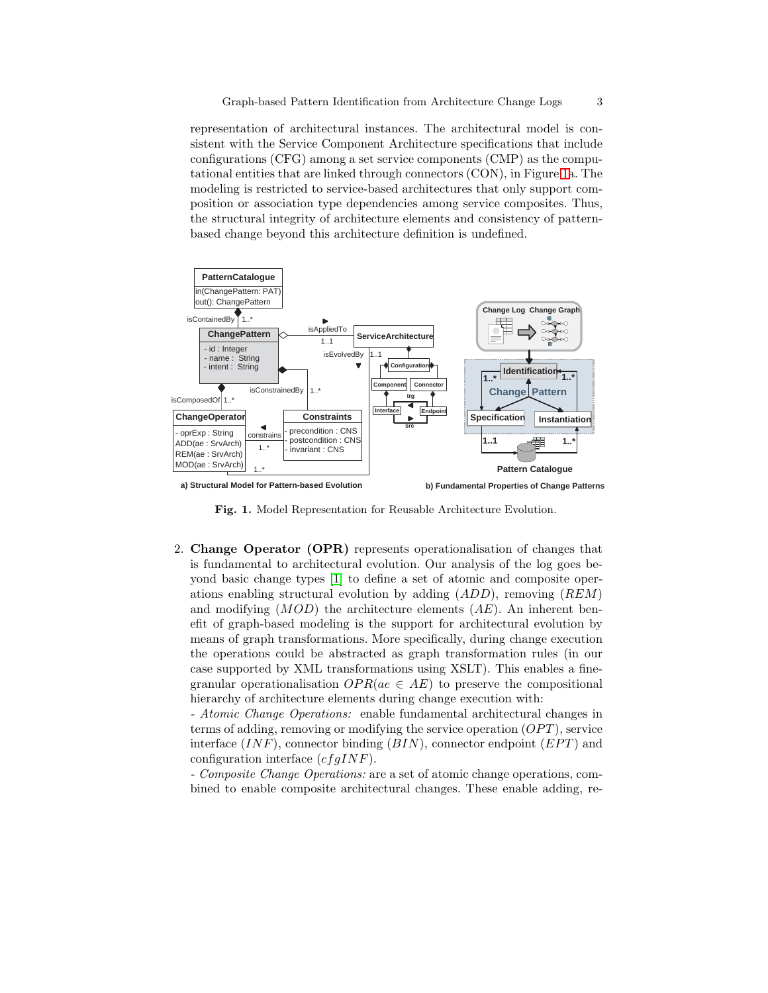representation of architectural instances. The architectural model is consistent with the Service Component Architecture specifications that include configurations (CFG) among a set service components (CMP) as the computational entities that are linked through connectors (CON), in Figure [1a](#page-2-0). The modeling is restricted to service-based architectures that only support composition or association type dependencies among service composites. Thus, the structural integrity of architecture elements and consistency of patternbased change beyond this architecture definition is undefined.



<span id="page-2-0"></span>**Fig. 1.** Model Representation for Reusable Architecture Evolution.

2. **Change Operator (OPR)** represents operationalisation of changes that is fundamental to architectural evolution. Our analysis of the log goes beyond basic change types [\[1\]](#page-13-3) to define a set of atomic and composite operations enabling structural evolution by adding (*ADD*), removing (*REM*) and modifying (*MOD*) the architecture elements (*AE*). An inherent benefit of graph-based modeling is the support for architectural evolution by means of graph transformations. More specifically, during change execution the operations could be abstracted as graph transformation rules (in our case supported by XML transformations using XSLT). This enables a finegranular operationalisation  $OPR(ae \in AE)$  to preserve the compositional hierarchy of architecture elements during change execution with:

*- Atomic Change Operations:* enable fundamental architectural changes in terms of adding, removing or modifying the service operation (*OP T* ), service interface (*INF*), connector binding (*BIN*), connector endpoint (*EPT* ) and configuration interface (*cfgINF*).

*- Composite Change Operations:* are a set of atomic change operations, combined to enable composite architectural changes. These enable adding, re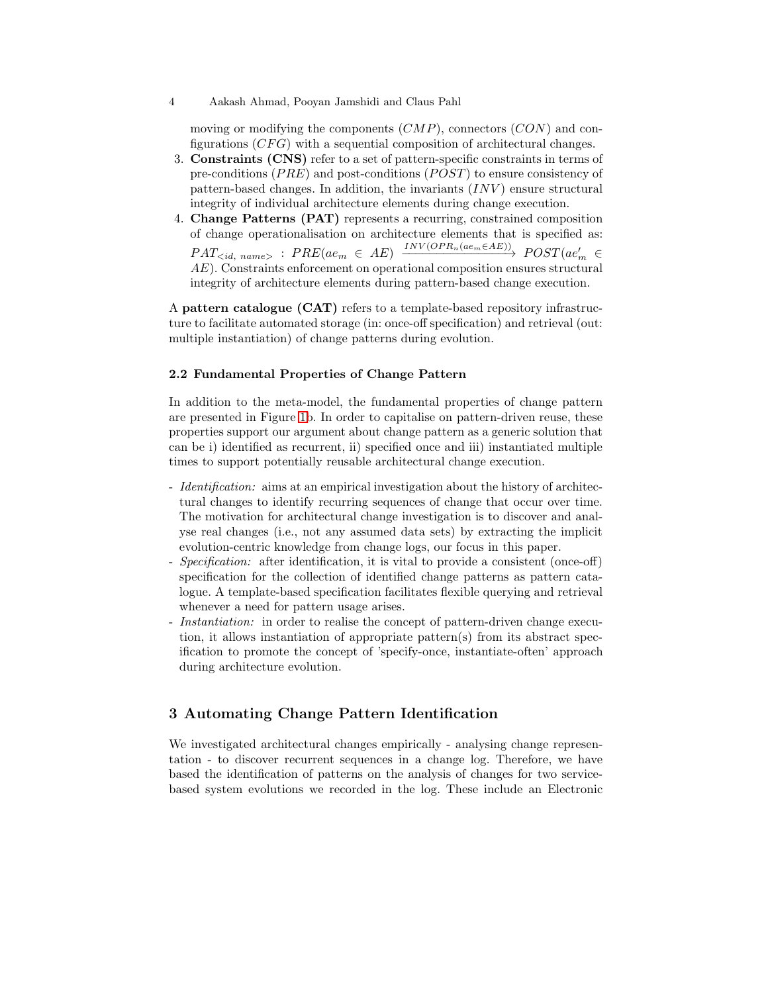4 Aakash Ahmad, Pooyan Jamshidi and Claus Pahl

moving or modifying the components (*CMP*), connectors (*CON*) and configurations (*CFG*) with a sequential composition of architectural changes.

- 3. **Constraints (CNS)** refer to a set of pattern-specific constraints in terms of pre-conditions (*P RE*) and post-conditions (*POST* ) to ensure consistency of pattern-based changes. In addition, the invariants (*INV* ) ensure structural integrity of individual architecture elements during change execution.
- 4. **Change Patterns (PAT)** represents a recurring, constrained composition of change operationalisation on architecture elements that is specified as:  $PAT_{< id, name>}$  :  $PRE(ae_m \in AE)$   $\xrightarrow{INV(OPR_n(ae_m \in AE))} POST(ae'_m \in$ *AE*). Constraints enforcement on operational composition ensures structural integrity of architecture elements during pattern-based change execution.

A **pattern catalogue (CAT)** refers to a template-based repository infrastructure to facilitate automated storage (in: once-off specification) and retrieval (out: multiple instantiation) of change patterns during evolution.

### **2.2 Fundamental Properties of Change Pattern**

In addition to the meta-model, the fundamental properties of change pattern are presented in Figure [1b](#page-2-0). In order to capitalise on pattern-driven reuse, these properties support our argument about change pattern as a generic solution that can be i) identified as recurrent, ii) specified once and iii) instantiated multiple times to support potentially reusable architectural change execution.

- *Identification:* aims at an empirical investigation about the history of architectural changes to identify recurring sequences of change that occur over time. The motivation for architectural change investigation is to discover and analyse real changes (i.e., not any assumed data sets) by extracting the implicit evolution-centric knowledge from change logs, our focus in this paper.
- *Specification:* after identification, it is vital to provide a consistent (once-off) specification for the collection of identified change patterns as pattern catalogue. A template-based specification facilitates flexible querying and retrieval whenever a need for pattern usage arises.
- *Instantiation:* in order to realise the concept of pattern-driven change execution, it allows instantiation of appropriate pattern(s) from its abstract specification to promote the concept of 'specify-once, instantiate-often' approach during architecture evolution.

# **3 Automating Change Pattern Identification**

We investigated architectural changes empirically - analysing change representation - to discover recurrent sequences in a change log. Therefore, we have based the identification of patterns on the analysis of changes for two servicebased system evolutions we recorded in the log. These include an Electronic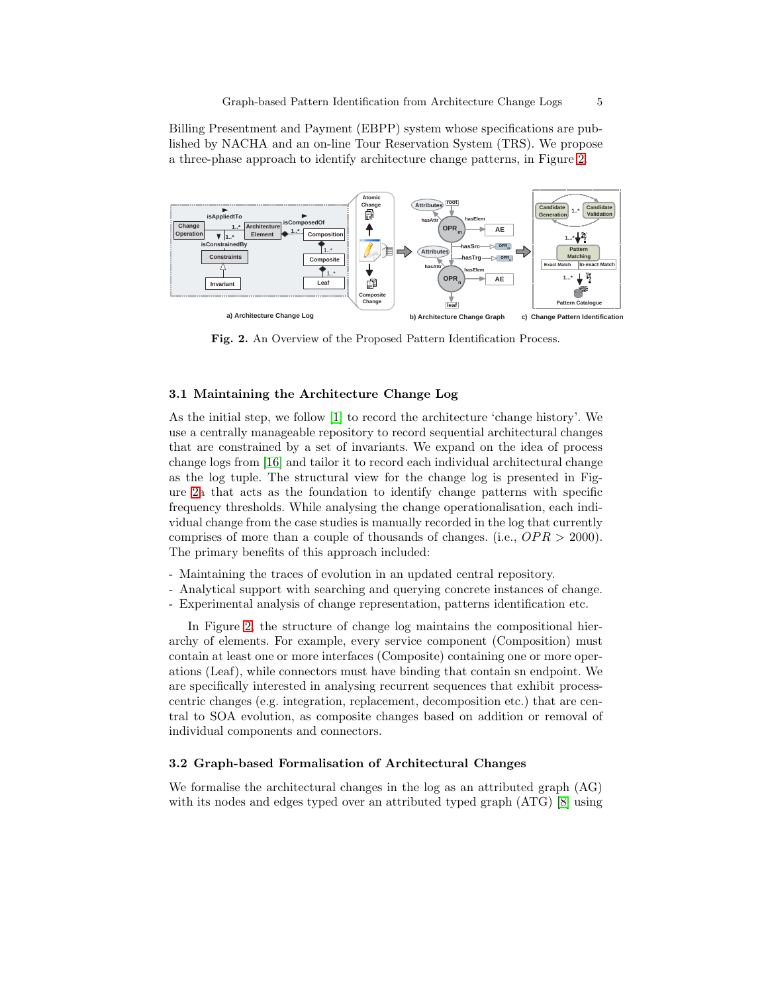Billing Presentment and Payment (EBPP) system whose specifications are published by NACHA and an on-line Tour Reservation System (TRS). We propose a three-phase approach to identify architecture change patterns, in Figure [2.](#page-4-0)



<span id="page-4-0"></span>**Fig. 2.** An Overview of the Proposed Pattern Identification Process.

#### **3.1 Maintaining the Architecture Change Log**

As the initial step, we follow [\[1\]](#page-13-3) to record the architecture 'change history'. We use a centrally manageable repository to record sequential architectural changes that are constrained by a set of invariants. We expand on the idea of process change logs from [\[16\]](#page-13-9) and tailor it to record each individual architectural change as the log tuple. The structural view for the change log is presented in Figure [2a](#page-4-0) that acts as the foundation to identify change patterns with specific frequency thresholds. While analysing the change operationalisation, each individual change from the case studies is manually recorded in the log that currently comprises of more than a couple of thousands of changes. (i.e., *OPR >* 2000). The primary benefits of this approach included:

- Maintaining the traces of evolution in an updated central repository.
- Analytical support with searching and querying concrete instances of change.
- Experimental analysis of change representation, patterns identification etc.

In Figure [2,](#page-4-0) the structure of change log maintains the compositional hierarchy of elements. For example, every service component (Composition) must contain at least one or more interfaces (Composite) containing one or more operations (Leaf), while connectors must have binding that contain sn endpoint. We are specifically interested in analysing recurrent sequences that exhibit processcentric changes (e.g. integration, replacement, decomposition etc.) that are central to SOA evolution, as composite changes based on addition or removal of individual components and connectors.

### **3.2 Graph-based Formalisation of Architectural Changes**

We formalise the architectural changes in the log as an attributed graph (AG) with its nodes and edges typed over an attributed typed graph (ATG) [\[8\]](#page-13-10) using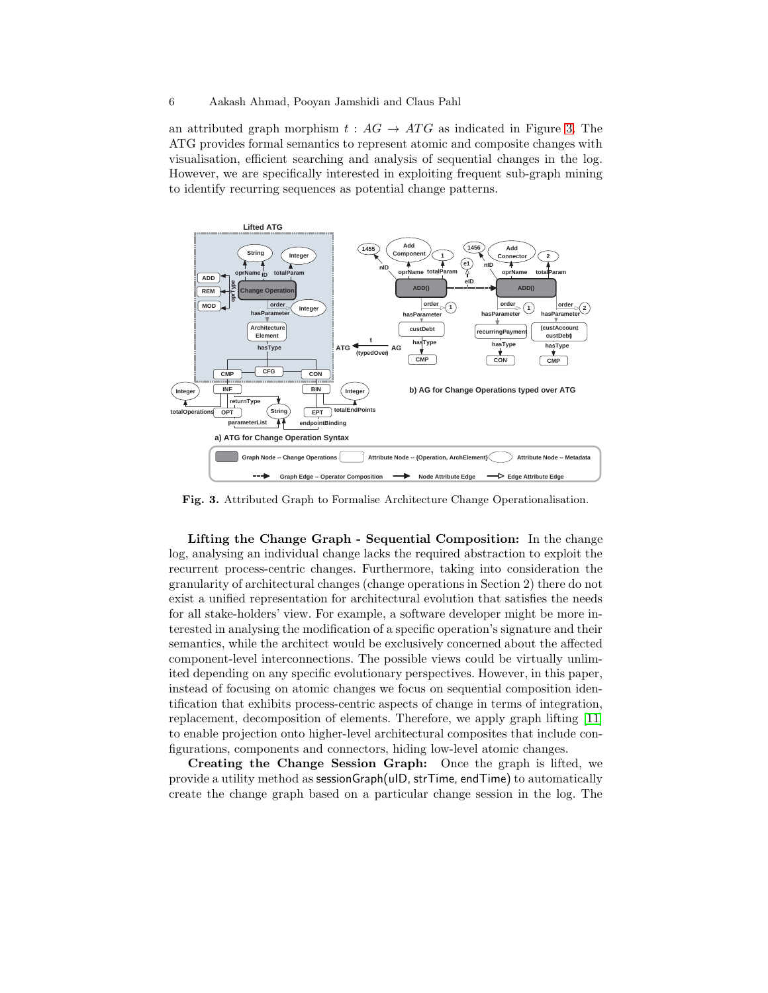an attributed graph morphism  $t : AG \rightarrow ATG$  as indicated in Figure [3.](#page-5-0) The ATG provides formal semantics to represent atomic and composite changes with visualisation, efficient searching and analysis of sequential changes in the log. However, we are specifically interested in exploiting frequent sub-graph mining to identify recurring sequences as potential change patterns.



<span id="page-5-0"></span>**Fig. 3.** Attributed Graph to Formalise Architecture Change Operationalisation.

**Lifting the Change Graph - Sequential Composition:** In the change log, analysing an individual change lacks the required abstraction to exploit the recurrent process-centric changes. Furthermore, taking into consideration the granularity of architectural changes (change operations in Section 2) there do not exist a unified representation for architectural evolution that satisfies the needs for all stake-holders' view. For example, a software developer might be more interested in analysing the modification of a specific operation's signature and their semantics, while the architect would be exclusively concerned about the affected component-level interconnections. The possible views could be virtually unlimited depending on any specific evolutionary perspectives. However, in this paper, instead of focusing on atomic changes we focus on sequential composition identification that exhibits process-centric aspects of change in terms of integration, replacement, decomposition of elements. Therefore, we apply graph lifting [\[11\]](#page-13-13) to enable projection onto higher-level architectural composites that include configurations, components and connectors, hiding low-level atomic changes.

**Creating the Change Session Graph:** Once the graph is lifted, we provide a utility method as sessionGraph(uID, strTime, endTime) to automatically create the change graph based on a particular change session in the log. The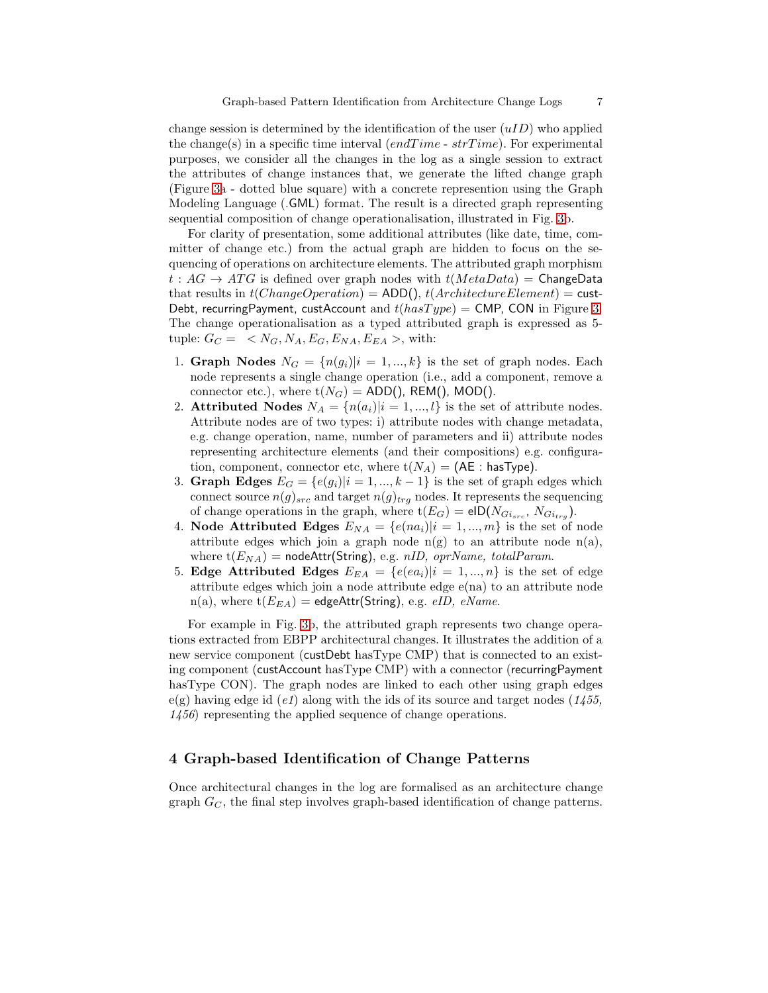change session is determined by the identification of the user (*uID*) who applied the change(s) in a specific time interval (*endT ime* - *strT ime*). For experimental purposes, we consider all the changes in the log as a single session to extract the attributes of change instances that, we generate the lifted change graph (Figure [3a](#page-5-0) - dotted blue square) with a concrete represention using the Graph Modeling Language (.GML) format. The result is a directed graph representing sequential composition of change operationalisation, illustrated in Fig. [3b](#page-5-0).

For clarity of presentation, some additional attributes (like date, time, committer of change etc.) from the actual graph are hidden to focus on the sequencing of operations on architecture elements. The attributed graph morphism  $t: AG \rightarrow ATG$  is defined over graph nodes with  $t(MetaData) = \text{ChangeData}$ that results in *t*(*ChangeOperation*) = ADD(), *t*(*ArchitectureElement*) = cust-Debt, recurringPayment, custAccount and *t*(*hasT ype*) = CMP, CON in Figure [3.](#page-5-0) The change operationalisation as a typed attributed graph is expressed as 5 tuple:  $G_C = \langle N_G, N_A, E_G, E_{NA}, E_{EA} \rangle$ , with:

- 1. **Graph Nodes**  $N_G = \{n(g_i)|i = 1, ..., k\}$  is the set of graph nodes. Each node represents a single change operation (i.e., add a component, remove a connector etc.), where  $t(N_G) = ADD()$ , REM(), MOD().
- 2. **Attributed Nodes**  $N_A = \{n(a_i)|i = 1, ..., l\}$  is the set of attribute nodes. Attribute nodes are of two types: i) attribute nodes with change metadata, e.g. change operation, name, number of parameters and ii) attribute nodes representing architecture elements (and their compositions) e.g. configuration, component, connector etc, where  $t(N_A) = (AE : hasType)$ .
- 3. **Graph Edges**  $E_G = \{e(g_i)|i = 1, ..., k-1\}$  is the set of graph edges which connect source  $n(g)_{src}$  and target  $n(g)_{trg}$  nodes. It represents the sequencing of change operations in the graph, where  $t(E_G) = eID(N_{Gi_{src}}, N_{Gi_{trq}})$ .
- 4. **Node Attributed Edges**  $E_{NA} = \{e(na_i)|i = 1, ..., m\}$  is the set of node attribute edges which join a graph node  $n(g)$  to an attribute node  $n(a)$ , where  $t(E_{NA})$  = nodeAttr(String), e.g. *nID*, *oprName, totalParam.*
- 5. **Edge Attributed Edges**  $E_{EA} = \{e(ea_i)|i = 1, ..., n\}$  is the set of edge attribute edges which join a node attribute edge e(na) to an attribute node  $n(a)$ , where  $t(E_{EA}) =$  edgeAttr(String), e.g. *eID, eName*.

For example in Fig. [3b](#page-5-0), the attributed graph represents two change operations extracted from EBPP architectural changes. It illustrates the addition of a new service component (custDebt hasType CMP) that is connected to an existing component (custAccount hasType CMP) with a connector (recurringPayment hasType CON). The graph nodes are linked to each other using graph edges e(g) having edge id (*e1*) along with the ids of its source and target nodes (*1455, 1456*) representing the applied sequence of change operations.

# **4 Graph-based Identification of Change Patterns**

Once architectural changes in the log are formalised as an architecture change graph  $G_C$ , the final step involves graph-based identification of change patterns.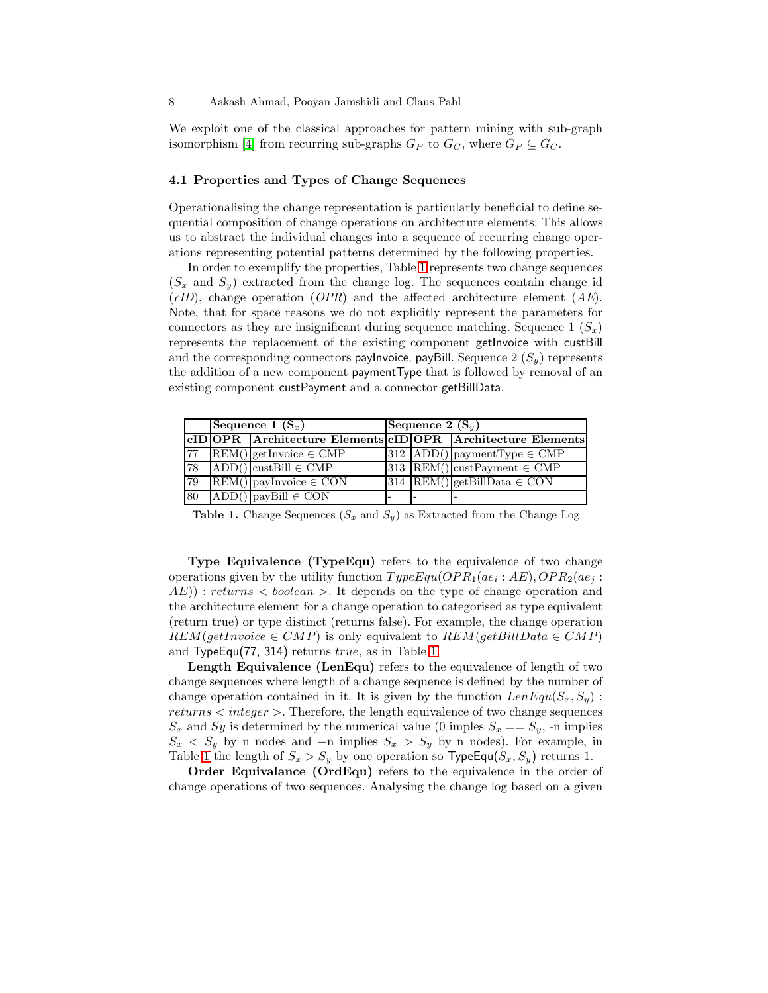We exploit one of the classical approaches for pattern mining with sub-graph isomorphism [\[4\]](#page-13-12) from recurring sub-graphs  $G_P$  to  $G_C$ , where  $G_P \subseteq G_C$ .

### **4.1 Properties and Types of Change Sequences**

Operationalising the change representation is particularly beneficial to define sequential composition of change operations on architecture elements. This allows us to abstract the individual changes into a sequence of recurring change operations representing potential patterns determined by the following properties.

In order to exemplify the properties, Table [1](#page-7-0) represents two change sequences  $(S_x \text{ and } S_y)$  extracted from the change log. The sequences contain change id (*cID*), change operation (*OPR*) and the affected architecture element (*AE*). Note, that for space reasons we do not explicitly represent the parameters for connectors as they are insignificant during sequence matching. Sequence  $1(S_x)$ represents the replacement of the existing component getInvoice with custBill and the corresponding connectors **payInvoice**, **payBill.** Sequence  $2(S_y)$  represents the addition of a new component paymentType that is followed by removal of an existing component custPayment and a connector getBillData.

|           | Sequence 1 $(S_x)$ |                                              | Sequence 2 $(S_u)$ |  |                                                             |
|-----------|--------------------|----------------------------------------------|--------------------|--|-------------------------------------------------------------|
|           |                    |                                              |                    |  | cID OPR Architecture Elements cID OPR Architecture Elements |
|           |                    | $77 \quad \text{REM()}$ getInvoice $\in$ CMP |                    |  | 312 $\overline{ADD()}$ payment Type $\in$ CMP               |
| <b>78</b> |                    | $ADD()$ cust Bill $\in$ CMP                  |                    |  | 313 REM() cust Payment $\in$ CMP                            |
| 179       |                    | $REM()$ payInvoice $\in$ CON                 |                    |  | 314 REM() getBillData $\in$ CON                             |
| 80        |                    | $ADD()$ payBill $\in$ CON                    |                    |  |                                                             |

<span id="page-7-0"></span>**Table 1.** Change Sequences ( $S_x$  and  $S_y$ ) as Extracted from the Change Log

**Type Equivalence (TypeEqu)** refers to the equivalence of two change operations given by the utility function  $TypeEqu(OPR<sub>1</sub>(ae<sub>i</sub>:AE),OPR<sub>2</sub>(ae<sub>i</sub>:$ *AE*)) : *returns < boolean >*. It depends on the type of change operation and the architecture element for a change operation to categorised as type equivalent (return true) or type distinct (returns false). For example, the change operation  $REM(qetInvoice \in CMP)$  is only equivalent to  $REM(qetBillData \in CMP)$ and TypeEqu(77, 314) returns *true*, as in Table [1.](#page-7-0)

**Length Equivalence (LenEqu)** refers to the equivalence of length of two change sequences where length of a change sequence is defined by the number of change operation contained in it. It is given by the function  $LenEqu(S_x, S_y)$ : *returns < integer >*. Therefore, the length equivalence of two change sequences  $S_x$  and *Sy* is determined by the numerical value (0 imples  $S_x = S_y$ , -n implies  $S_x < S_y$  by n nodes and  $+n$  implies  $S_x > S_y$  by n nodes). For example, in Table [1](#page-7-0) the length of  $S_x > S_y$  by one operation so TypeEqu( $S_x, S_y$ ) returns 1.

**Order Equivalance (OrdEqu)** refers to the equivalence in the order of change operations of two sequences. Analysing the change log based on a given

<sup>8</sup> Aakash Ahmad, Pooyan Jamshidi and Claus Pahl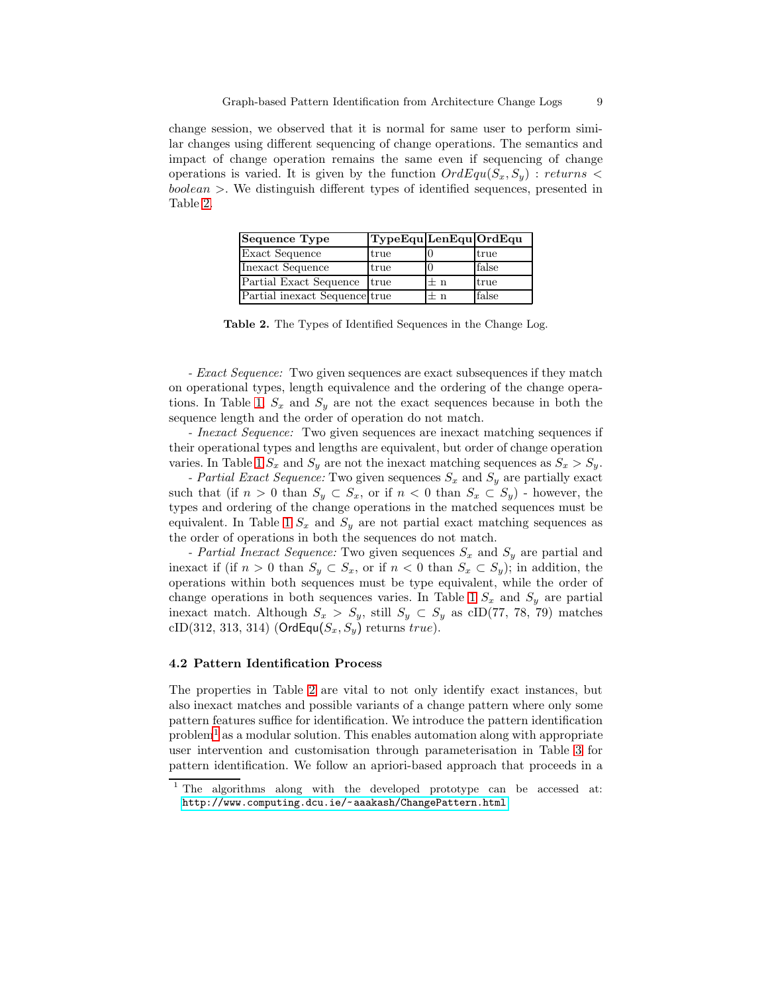change session, we observed that it is normal for same user to perform similar changes using different sequencing of change operations. The semantics and impact of change operation remains the same even if sequencing of change operations is varied. It is given by the function  $OrdEqu(S_x, S_y)$ : *returns* < *boolean >*. We distinguish different types of identified sequences, presented in Table [2.](#page-8-0)

| <b>Sequence Type</b>          | TypeEqu LenEqu OrdEqu |       |       |
|-------------------------------|-----------------------|-------|-------|
| Exact Sequence                | true                  |       | true  |
| Inexact Sequence              | true                  |       | false |
| Partial Exact Sequence        | true                  | $+$ n | true  |
| Partial inexact Sequence true |                       | + n   | false |

<span id="page-8-0"></span>**Table 2.** The Types of Identified Sequences in the Change Log.

*- Exact Sequence:* Two given sequences are exact subsequences if they match on operational types, length equivalence and the ordering of the change opera-tions. In Table [1,](#page-7-0)  $S_x$  and  $S_y$  are not the exact sequences because in both the sequence length and the order of operation do not match.

*- Inexact Sequence:* Two given sequences are inexact matching sequences if their operational types and lengths are equivalent, but order of change operation varies. In Table [1](#page-7-0)  $S_x$  and  $S_y$  are not the inexact matching sequences as  $S_x > S_y$ .

*- Partial Exact Sequence:* Two given sequences *S<sup>x</sup>* and *S<sup>y</sup>* are partially exact such that (if  $n > 0$  than  $S_y \subset S_x$ , or if  $n < 0$  than  $S_x \subset S_y$ ) - however, the types and ordering of the change operations in the matched sequences must be equivalent. In Table [1](#page-7-0)  $S_x$  and  $S_y$  are not partial exact matching sequences as the order of operations in both the sequences do not match.

*- Partial Inexact Sequence:* Two given sequences *S<sup>x</sup>* and *S<sup>y</sup>* are partial and inexact if (if  $n > 0$  than  $S_y \subset S_x$ , or if  $n < 0$  than  $S_x \subset S_y$ ); in addition, the operations within both sequences must be type equivalent, while the order of change operations in both sequences varies. In Table [1](#page-7-0)  $S_x$  and  $S_y$  are partial inexact match. Although  $S_x > S_y$ , still  $S_y \subset S_y$  as cID(77, 78, 79) matches  $cID(312, 313, 314)$  (OrdEqu $(S_x, S_y)$  returns *true*).

#### **4.2 Pattern Identification Process**

The properties in Table [2](#page-8-0) are vital to not only identify exact instances, but also inexact matches and possible variants of a change pattern where only some pattern features suffice for identification. We introduce the pattern identification  $problem<sup>1</sup>$  $problem<sup>1</sup>$  $problem<sup>1</sup>$  as a modular solution. This enables automation along with appropriate user intervention and customisation through parameterisation in Table [3](#page-9-0) for pattern identification. We follow an apriori-based approach that proceeds in a

<span id="page-8-1"></span><sup>&</sup>lt;sup>1</sup> The algorithms along with the developed prototype can be accessed at: <http://www.computing.dcu.ie/~aaakash/ChangePattern.html>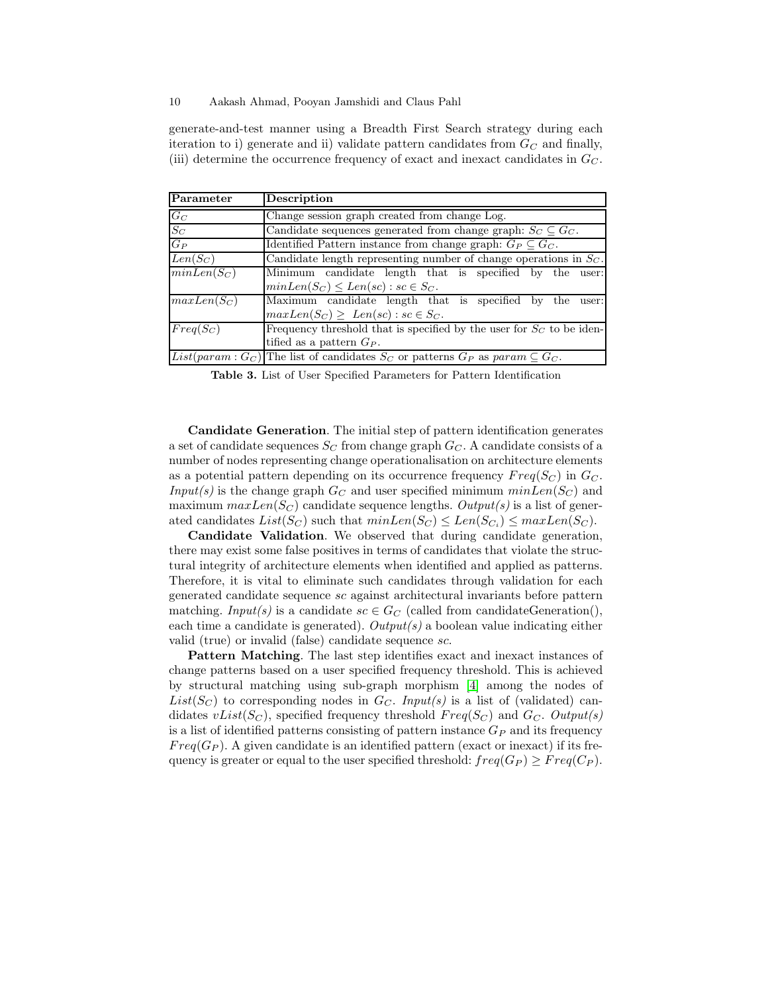generate-and-test manner using a Breadth First Search strategy during each iteration to i) generate and ii) validate pattern candidates from *G<sup>C</sup>* and finally, (iii) determine the occurrence frequency of exact and inexact candidates in *G<sup>C</sup>* .

| Parameter     | Description                                                                                            |  |  |
|---------------|--------------------------------------------------------------------------------------------------------|--|--|
| $G_C$         | Change session graph created from change Log.                                                          |  |  |
| $S_C$         | Candidate sequences generated from change graph: $S_C \subseteq G_C$ .                                 |  |  |
| $G_P$         | Identified Pattern instance from change graph: $G_P \subseteq G_C$ .                                   |  |  |
| $Len(S_C)$    | Candidate length representing number of change operations in $S_C$ .                                   |  |  |
| $minLen(S_C)$ | Minimum candidate length that is specified by the user:                                                |  |  |
|               | $minLen(S_C) \leq Len(sc) : sc \in S_C.$                                                               |  |  |
| $maxLen(S_C)$ | Maximum candidate length that is specified by the user:                                                |  |  |
|               | $maxLen(S_C) \geq Len(sC) : sc \in S_C.$                                                               |  |  |
| $Freq(S_C)$   | Frequency threshold that is specified by the user for $S_C$ to be iden-                                |  |  |
|               | tified as a pattern $G_P$ .                                                                            |  |  |
|               | <i>List</i> (param : $G_C$ ) The list of candidates $S_C$ or patterns $G_P$ as param $\subseteq G_C$ . |  |  |

<span id="page-9-0"></span>**Table 3.** List of User Specified Parameters for Pattern Identification

**Candidate Generation**. The initial step of pattern identification generates a set of candidate sequences *S<sup>C</sup>* from change graph *G<sup>C</sup>* . A candidate consists of a number of nodes representing change operationalisation on architecture elements as a potential pattern depending on its occurrence frequency  $Freq(S_C)$  in  $G_C$ . *Input(s)* is the change graph  $G_C$  and user specified minimum  $minLen(S_C)$  and maximum  $maxLen(S_C)$  candidate sequence lengths. *Output(s)* is a list of generated candidates  $List(S_C)$  such that  $minLen(S_C) \leq Len(S_{C_i}) \leq maxLen(S_C)$ .

**Candidate Validation**. We observed that during candidate generation, there may exist some false positives in terms of candidates that violate the structural integrity of architecture elements when identified and applied as patterns. Therefore, it is vital to eliminate such candidates through validation for each generated candidate sequence *sc* against architectural invariants before pattern matching. *Input(s)* is a candidate  $sc \in G_C$  (called from candidate Generation(), each time a candidate is generated). *Output(s)* a boolean value indicating either valid (true) or invalid (false) candidate sequence *sc*.

**Pattern Matching**. The last step identifies exact and inexact instances of change patterns based on a user specified frequency threshold. This is achieved by structural matching using sub-graph morphism [\[4\]](#page-13-12) among the nodes of  $List(S_C)$  to corresponding nodes in  $G_C$ . *Input(s)* is a list of (validated) candidates  $vList(S_C)$ , specified frequency threshold  $Freq(S_C)$  and  $G_C$ . Output(s) is a list of identified patterns consisting of pattern instance *G<sup>P</sup>* and its frequency  $Freq(G_P)$ . A given candidate is an identified pattern (exact or inexact) if its frequency is greater or equal to the user specified threshold:  $freq(G_P) \geq freq(C_P)$ .

<sup>10</sup> Aakash Ahmad, Pooyan Jamshidi and Claus Pahl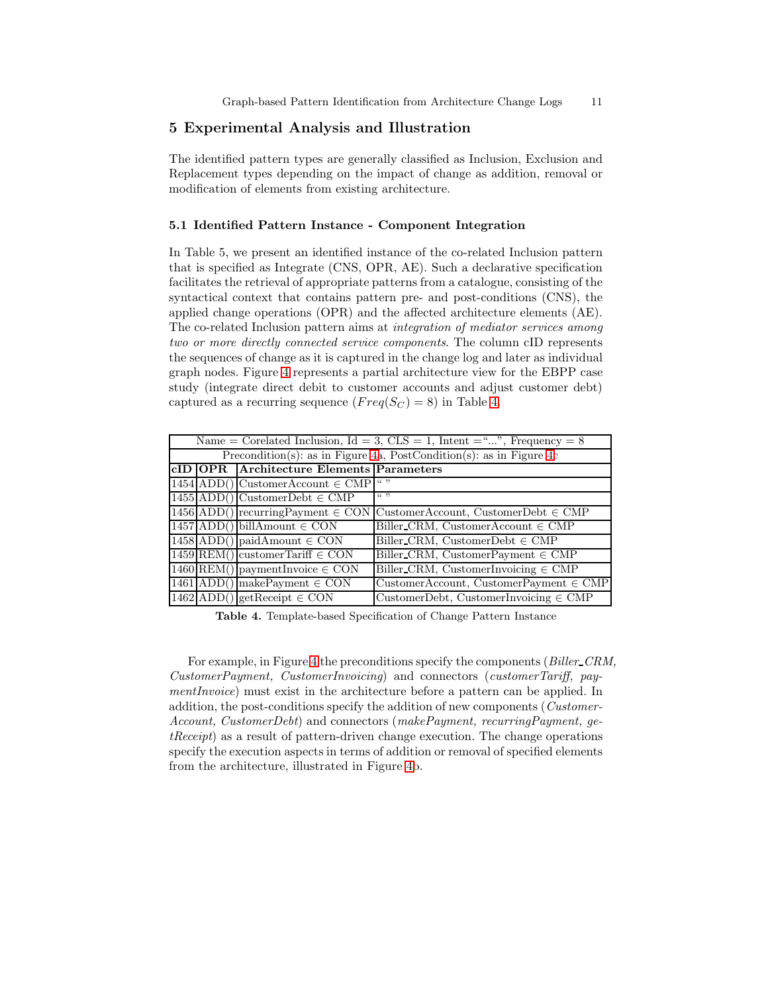# **5 Experimental Analysis and Illustration**

The identified pattern types are generally classified as Inclusion, Exclusion and Replacement types depending on the impact of change as addition, removal or modification of elements from existing architecture.

#### **5.1 Identified Pattern Instance - Component Integration**

In Table 5, we present an identified instance of the co-related Inclusion pattern that is specified as Integrate (CNS, OPR, AE). Such a declarative specification facilitates the retrieval of appropriate patterns from a catalogue, consisting of the syntactical context that contains pattern pre- and post-conditions (CNS), the applied change operations (OPR) and the affected architecture elements (AE). The co-related Inclusion pattern aims at *integration of mediator services among two or more directly connected service components*. The column cID represents the sequences of change as it is captured in the change log and later as individual graph nodes. Figure [4](#page-11-0) represents a partial architecture view for the EBPP case study (integrate direct debit to customer accounts and adjust customer debt) captured as a recurring sequence  $(Freq(S_C) = 8)$  in Table [4.](#page-10-0)

| Name = Corelated Inclusion, Id = 3, CLS = 1, Intent = "", Frequency = $8$ |                                                                                   |                                                    |                                                                                            |  |  |  |
|---------------------------------------------------------------------------|-----------------------------------------------------------------------------------|----------------------------------------------------|--------------------------------------------------------------------------------------------|--|--|--|
|                                                                           | Precondition(s): as in Figure 4a, $\overline{PostCondition}(s)$ : as in Figure 4c |                                                    |                                                                                            |  |  |  |
|                                                                           |                                                                                   | cID OPR Architecture Elements Parameters           |                                                                                            |  |  |  |
|                                                                           |                                                                                   | $1454   ADD()$ Customer Account $\in$ CMP          | (1, 2)                                                                                     |  |  |  |
|                                                                           |                                                                                   | $1455$ ADD() CustomerDebt $\in$ CMP                | (6, 2)                                                                                     |  |  |  |
|                                                                           |                                                                                   |                                                    | $1456\,\text{ADD}()$ recurring Payment $\in$ CON Customer Account, Customer Debt $\in$ CMP |  |  |  |
|                                                                           |                                                                                   | $1457 \text{ ADD}()$ billAmount $\in \text{CON}$   | Biller_CRM, CustomerAccount $\in$ CMP                                                      |  |  |  |
|                                                                           |                                                                                   | $1458 \, \text{ADD}()$ paidAmount $\in \text{CON}$ | Biller_CRM, CustomerDebt $\in$ CMP                                                         |  |  |  |
|                                                                           |                                                                                   | $1459$ REM() customer Tariff $\in$ CON             | Biller CRM, CustomerPayment $\in$ CMP                                                      |  |  |  |
|                                                                           |                                                                                   | $1460$ REM() payment Invoice $\in$ CON             | Biller CRM, CustomerInvoicing $\in$ CMP                                                    |  |  |  |
|                                                                           |                                                                                   | $1461$ ADD() makePayment $\in$ CON                 | $CustomerAccount$ , $CustomerPayment \in CMP$                                              |  |  |  |
|                                                                           |                                                                                   | $1462$ ADD() getReceipt $\in$ CON                  | CustomerDebt, CustomerInvoicing $\in$ CMP                                                  |  |  |  |

<span id="page-10-0"></span>**Table 4.** Template-based Specification of Change Pattern Instance

For example, in Figure [4](#page-11-0) the preconditions specify the components (*Biller CRM, CustomerPayment, CustomerInvoicing*) and connectors (*customerTariff, paymentInvoice*) must exist in the architecture before a pattern can be applied. In addition, the post-conditions specify the addition of new components (*Customer-Account, CustomerDebt*) and connectors (*makePayment, recurringPayment, getReceipt*) as a result of pattern-driven change execution. The change operations specify the execution aspects in terms of addition or removal of specified elements from the architecture, illustrated in Figure [4b](#page-11-0).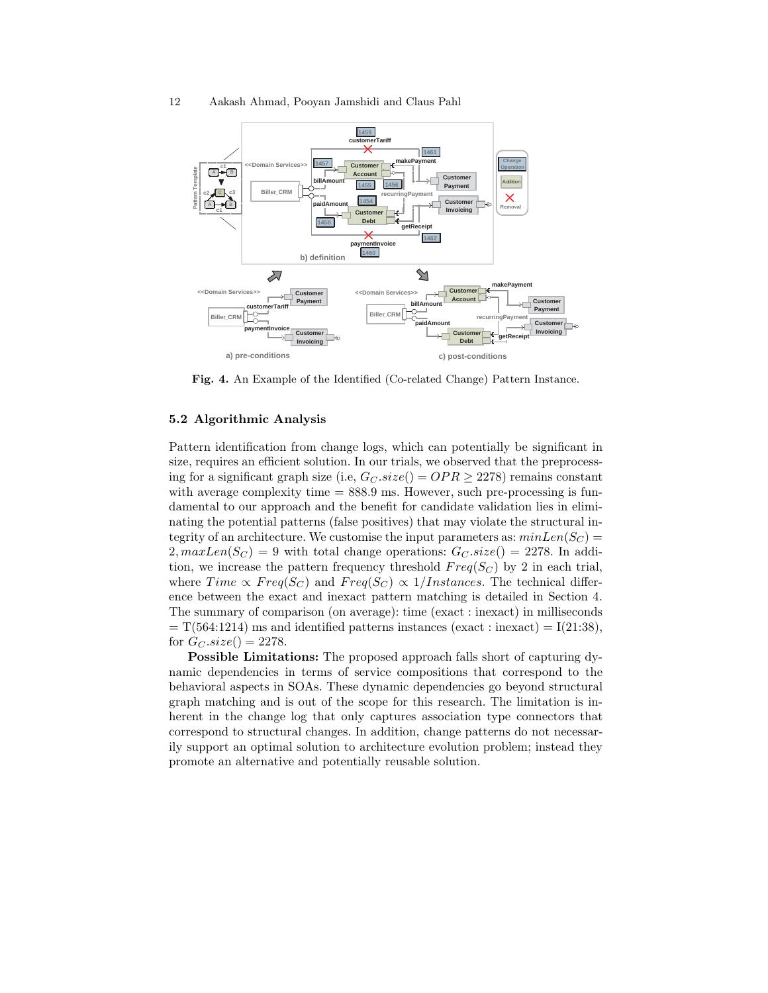

<span id="page-11-0"></span>**Fig. 4.** An Example of the Identified (Co-related Change) Pattern Instance.

### **5.2 Algorithmic Analysis**

Pattern identification from change logs, which can potentially be significant in size, requires an efficient solution. In our trials, we observed that the preprocessing for a significant graph size (i.e,  $G_C.size() = OPR \ge 2278$ ) remains constant with average complexity time  $= 888.9$  ms. However, such pre-processing is fundamental to our approach and the benefit for candidate validation lies in eliminating the potential patterns (false positives) that may violate the structural integrity of an architecture. We customise the input parameters as:  $minLen(S_C)$  $2, maxLen(S_C) = 9$  with total change operations:  $G_C.size() = 2278$ . In addition, we increase the pattern frequency threshold  $Freq(S_C)$  by 2 in each trial, where  $Time \propto Freq(S_C)$  and  $Freq(S_C) \propto 1/Instantces$ . The technical difference between the exact and inexact pattern matching is detailed in Section 4. The summary of comparison (on average): time (exact : inexact) in milliseconds  $= T(564:1214)$  ms and identified patterns instances (exact : inexact) = I(21:38), for  $G_C.size() = 2278$ .

**Possible Limitations:** The proposed approach falls short of capturing dynamic dependencies in terms of service compositions that correspond to the behavioral aspects in SOAs. These dynamic dependencies go beyond structural graph matching and is out of the scope for this research. The limitation is inherent in the change log that only captures association type connectors that correspond to structural changes. In addition, change patterns do not necessarily support an optimal solution to architecture evolution problem; instead they promote an alternative and potentially reusable solution.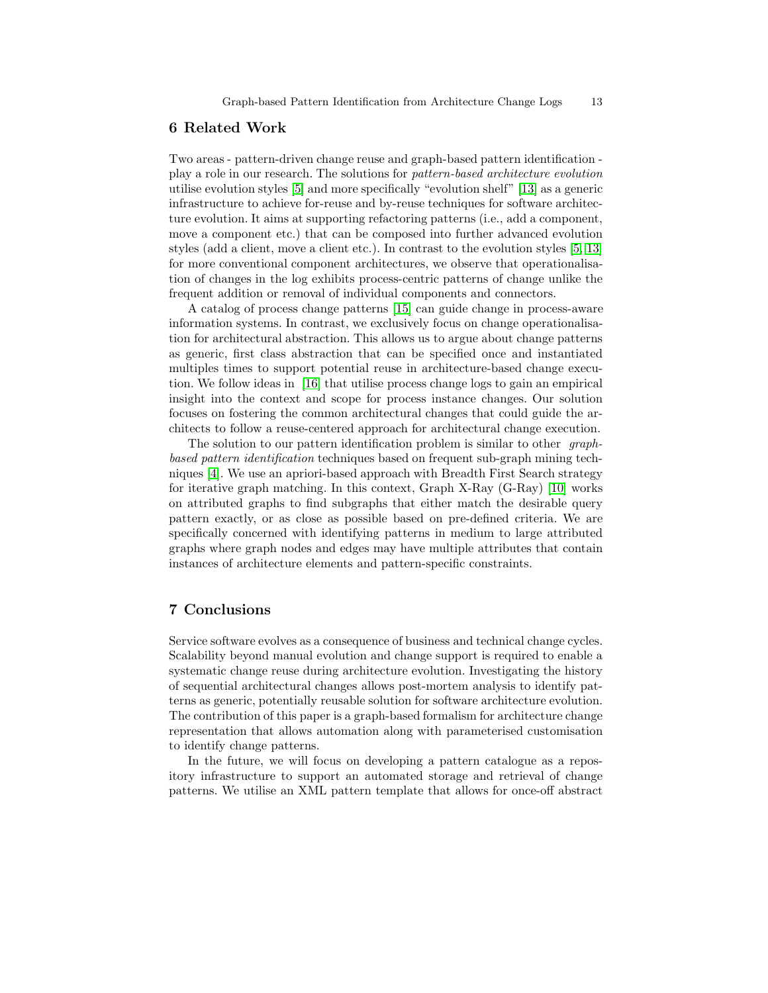## **6 Related Work**

Two areas - pattern-driven change reuse and graph-based pattern identification play a role in our research. The solutions for *pattern-based architecture evolution* utilise evolution styles [\[5\]](#page-13-4) and more specifically "evolution shelf" [\[13\]](#page-13-5) as a generic infrastructure to achieve for-reuse and by-reuse techniques for software architecture evolution. It aims at supporting refactoring patterns (i.e., add a component, move a component etc.) that can be composed into further advanced evolution styles (add a client, move a client etc.). In contrast to the evolution styles [\[5,](#page-13-4) [13\]](#page-13-5) for more conventional component architectures, we observe that operationalisation of changes in the log exhibits process-centric patterns of change unlike the frequent addition or removal of individual components and connectors.

A catalog of process change patterns [\[15\]](#page-13-8) can guide change in process-aware information systems. In contrast, we exclusively focus on change operationalisation for architectural abstraction. This allows us to argue about change patterns as generic, first class abstraction that can be specified once and instantiated multiples times to support potential reuse in architecture-based change execution. We follow ideas in [\[16\]](#page-13-9) that utilise process change logs to gain an empirical insight into the context and scope for process instance changes. Our solution focuses on fostering the common architectural changes that could guide the architects to follow a reuse-centered approach for architectural change execution.

The solution to our pattern identification problem is similar to other *graphbased pattern identification* techniques based on frequent sub-graph mining techniques [\[4\]](#page-13-12). We use an apriori-based approach with Breadth First Search strategy for iterative graph matching. In this context, Graph X-Ray (G-Ray) [\[10\]](#page-13-14) works on attributed graphs to find subgraphs that either match the desirable query pattern exactly, or as close as possible based on pre-defined criteria. We are specifically concerned with identifying patterns in medium to large attributed graphs where graph nodes and edges may have multiple attributes that contain instances of architecture elements and pattern-specific constraints.

## **7 Conclusions**

Service software evolves as a consequence of business and technical change cycles. Scalability beyond manual evolution and change support is required to enable a systematic change reuse during architecture evolution. Investigating the history of sequential architectural changes allows post-mortem analysis to identify patterns as generic, potentially reusable solution for software architecture evolution. The contribution of this paper is a graph-based formalism for architecture change representation that allows automation along with parameterised customisation to identify change patterns.

In the future, we will focus on developing a pattern catalogue as a repository infrastructure to support an automated storage and retrieval of change patterns. We utilise an XML pattern template that allows for once-off abstract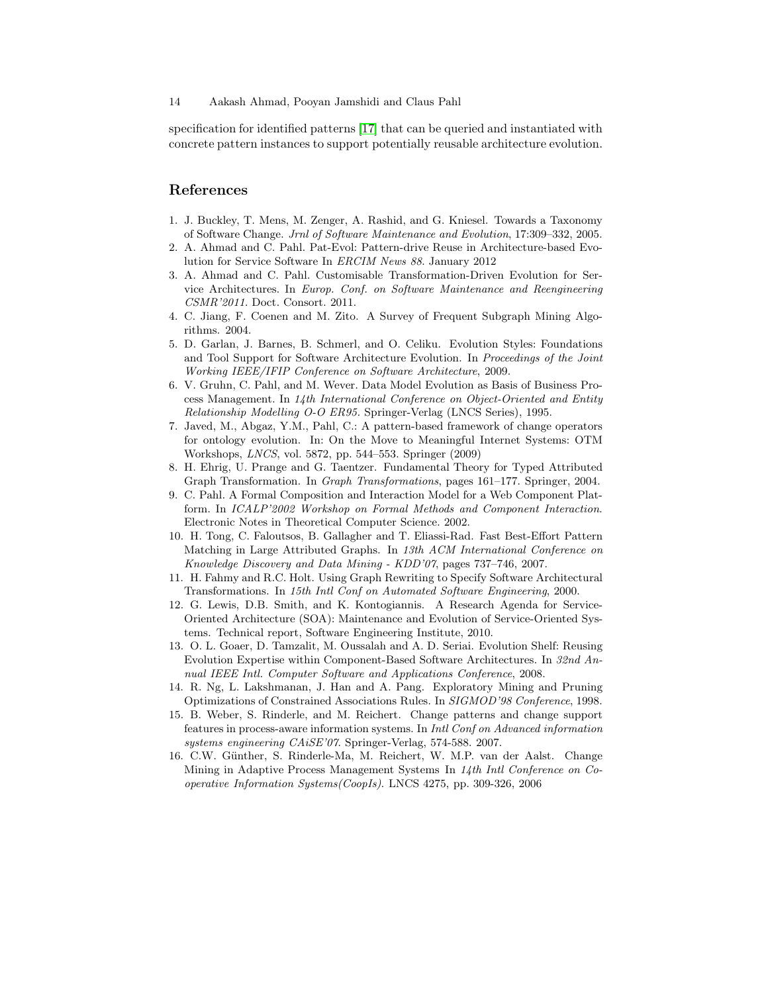14 Aakash Ahmad, Pooyan Jamshidi and Claus Pahl

specification for identified patterns [\[17\]](#page-14-0) that can be queried and instantiated with concrete pattern instances to support potentially reusable architecture evolution.

### <span id="page-13-3"></span>**References**

- 1. J. Buckley, T. Mens, M. Zenger, A. Rashid, and G. Kniesel. Towards a Taxonomy of Software Change. *Jrnl of Software Maintenance and Evolution*, 17:309–332, 2005.
- <span id="page-13-1"></span>2. A. Ahmad and C. Pahl. Pat-Evol: Pattern-drive Reuse in Architecture-based Evolution for Service Software In *ERCIM News 88*. January 2012
- <span id="page-13-2"></span>3. A. Ahmad and C. Pahl. Customisable Transformation-Driven Evolution for Service Architectures. In *Europ. Conf. on Software Maintenance and Reengineering CSMR'2011*. Doct. Consort. 2011.
- <span id="page-13-12"></span><span id="page-13-4"></span>4. C. Jiang, F. Coenen and M. Zito. A Survey of Frequent Subgraph Mining Algorithms. 2004.
- 5. D. Garlan, J. Barnes, B. Schmerl, and O. Celiku. Evolution Styles: Foundations and Tool Support for Software Architecture Evolution. In *Proceedings of the Joint Working IEEE/IFIP Conference on Software Architecture*, 2009.
- <span id="page-13-6"></span>6. V. Gruhn, C. Pahl, and M. Wever. Data Model Evolution as Basis of Business Process Management. In *14th International Conference on Object-Oriented and Entity Relationship Modelling O-O ER95.* Springer-Verlag (LNCS Series), 1995.
- <span id="page-13-7"></span>7. Javed, M., Abgaz, Y.M., Pahl, C.: A pattern-based framework of change operators for ontology evolution. In: On the Move to Meaningful Internet Systems: OTM Workshops, *LNCS*, vol. 5872, pp. 544–553. Springer (2009)
- <span id="page-13-10"></span>8. H. Ehrig, U. Prange and G. Taentzer. Fundamental Theory for Typed Attributed Graph Transformation. In *Graph Transformations*, pages 161–177. Springer, 2004.
- <span id="page-13-11"></span>9. C. Pahl. A Formal Composition and Interaction Model for a Web Component Platform. In *ICALP'2002 Workshop on Formal Methods and Component Interaction*. Electronic Notes in Theoretical Computer Science. 2002.
- <span id="page-13-14"></span>10. H. Tong, C. Faloutsos, B. Gallagher and T. Eliassi-Rad. Fast Best-Effort Pattern Matching in Large Attributed Graphs. In *13th ACM International Conference on Knowledge Discovery and Data Mining - KDD'07*, pages 737–746, 2007.
- <span id="page-13-13"></span>11. H. Fahmy and R.C. Holt. Using Graph Rewriting to Specify Software Architectural Transformations. In *15th Intl Conf on Automated Software Engineering*, 2000.
- <span id="page-13-0"></span>12. G. Lewis, D.B. Smith, and K. Kontogiannis. A Research Agenda for Service-Oriented Architecture (SOA): Maintenance and Evolution of Service-Oriented Systems. Technical report, Software Engineering Institute, 2010.
- <span id="page-13-5"></span>13. O. L. Goaer, D. Tamzalit, M. Oussalah and A. D. Seriai. Evolution Shelf: Reusing Evolution Expertise within Component-Based Software Architectures. In *32nd Annual IEEE Intl. Computer Software and Applications Conference*, 2008.
- 14. R. Ng, L. Lakshmanan, J. Han and A. Pang. Exploratory Mining and Pruning Optimizations of Constrained Associations Rules. In *SIGMOD'98 Conference*, 1998.
- <span id="page-13-8"></span>15. B. Weber, S. Rinderle, and M. Reichert. Change patterns and change support features in process-aware information systems. In *Intl Conf on Advanced information systems engineering CAiSE'07*. Springer-Verlag, 574-588. 2007.
- <span id="page-13-9"></span>16. C.W. G¨unther, S. Rinderle-Ma, M. Reichert, W. M.P. van der Aalst. Change Mining in Adaptive Process Management Systems In *14th Intl Conference on Cooperative Information Systems(CoopIs)*. LNCS 4275, pp. 309-326, 2006